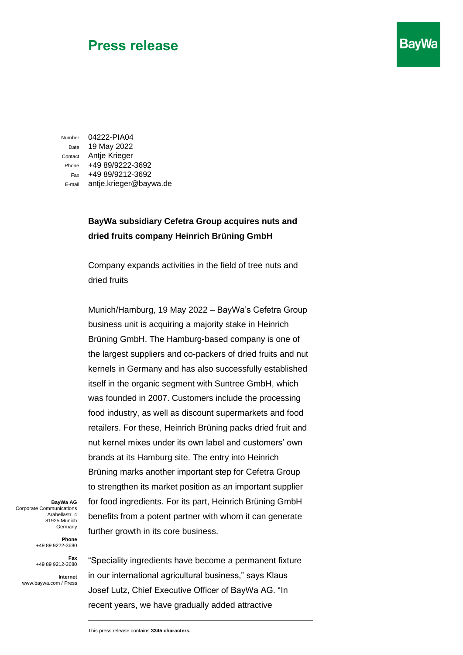## **Press release**

Number 04222-PIA04 Date 19 May 2022 Contact Antje Krieger Phone +49 89/9222-3692 Fax +49 89/9212-3692 E-mail antje.krieger@baywa.de

## **BayWa subsidiary Cefetra Group acquires nuts and dried fruits company Heinrich Brüning GmbH**

**BayWa** 

Company expands activities in the field of tree nuts and dried fruits

Munich/Hamburg, 19 May 2022 – BayWa's Cefetra Group business unit is acquiring a majority stake in Heinrich Brüning GmbH. The Hamburg-based company is one of the largest suppliers and co-packers of dried fruits and nut kernels in Germany and has also successfully established itself in the organic segment with Suntree GmbH, which was founded in 2007. Customers include the processing food industry, as well as discount supermarkets and food retailers. For these, Heinrich Brüning packs dried fruit and nut kernel mixes under its own label and customers' own brands at its Hamburg site. The entry into Heinrich Brüning marks another important step for Cefetra Group to strengthen its market position as an important supplier for food ingredients. For its part, Heinrich Brüning GmbH benefits from a potent partner with whom it can generate further growth in its core business.

**BayWa AG** Corporate Communications Arabellastr. 4 81925 Munich Germany

> **Phone**  +49 89 9222-3680

**Fax**  +49 89 9212-3680

**Internet** www.baywa.com / Press

"Speciality ingredients have become a permanent fixture in our international agricultural business," says Klaus Josef Lutz, Chief Executive Officer of BayWa AG. "In recent years, we have gradually added attractive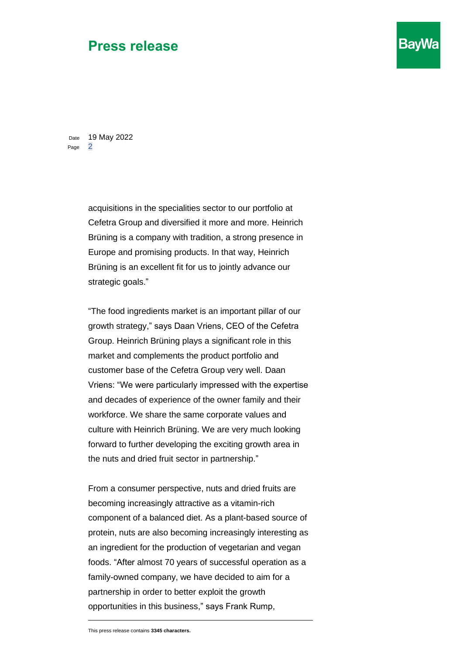## **Press release**

**BayWa** 

Date 19 May 2022 Page 2

> acquisitions in the specialities sector to our portfolio at Cefetra Group and diversified it more and more. Heinrich Brüning is a company with tradition, a strong presence in Europe and promising products. In that way, Heinrich Brüning is an excellent fit for us to jointly advance our strategic goals."

"The food ingredients market is an important pillar of our growth strategy," says Daan Vriens, CEO of the Cefetra Group. Heinrich Brüning plays a significant role in this market and complements the product portfolio and customer base of the Cefetra Group very well. Daan Vriens: "We were particularly impressed with the expertise and decades of experience of the owner family and their workforce. We share the same corporate values and culture with Heinrich Brüning. We are very much looking forward to further developing the exciting growth area in the nuts and dried fruit sector in partnership."

From a consumer perspective, nuts and dried fruits are becoming increasingly attractive as a vitamin-rich component of a balanced diet. As a plant-based source of protein, nuts are also becoming increasingly interesting as an ingredient for the production of vegetarian and vegan foods. "After almost 70 years of successful operation as a family-owned company, we have decided to aim for a partnership in order to better exploit the growth opportunities in this business," says Frank Rump,